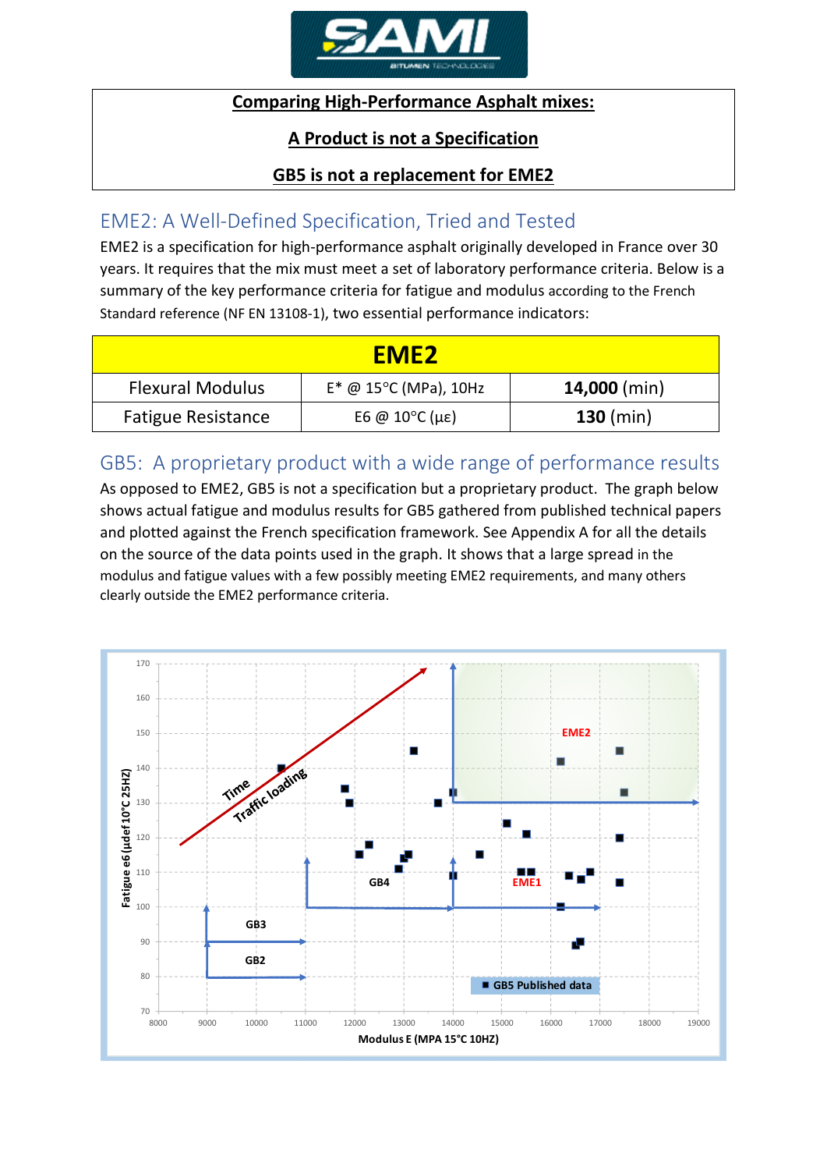

#### **Comparing High-Performance Asphalt mixes:**

#### **A Product is not a Specification**

### **GB5 is not a replacement for EME2**

## EME2: A Well-Defined Specification, Tried and Tested

EME2 is a specification for high-performance asphalt originally developed in France over 30 years. It requires that the mix must meet a set of laboratory performance criteria. Below is a summary of the key performance criteria for fatigue and modulus according to the French Standard reference (NF EN 13108-1), two essential performance indicators:

| <b>EME2</b>               |                                          |                |  |  |  |  |  |
|---------------------------|------------------------------------------|----------------|--|--|--|--|--|
| <b>Flexural Modulus</b>   | $E^*$ @ 15°C (MPa), 10Hz                 | $14,000$ (min) |  |  |  |  |  |
| <b>Fatigue Resistance</b> | E6 @ $10^{\circ}$ C ( $\mu$ $\epsilon$ ) | 130 (min)      |  |  |  |  |  |

# GB5: A proprietary product with a wide range of performance results

As opposed to EME2, GB5 is not a specification but a proprietary product. The graph below shows actual fatigue and modulus results for GB5 gathered from published technical papers and plotted against the French specification framework. See Appendix A for all the details on the source of the data points used in the graph. It shows that a large spread in the modulus and fatigue values with a few possibly meeting EME2 requirements, and many others clearly outside the EME2 performance criteria.